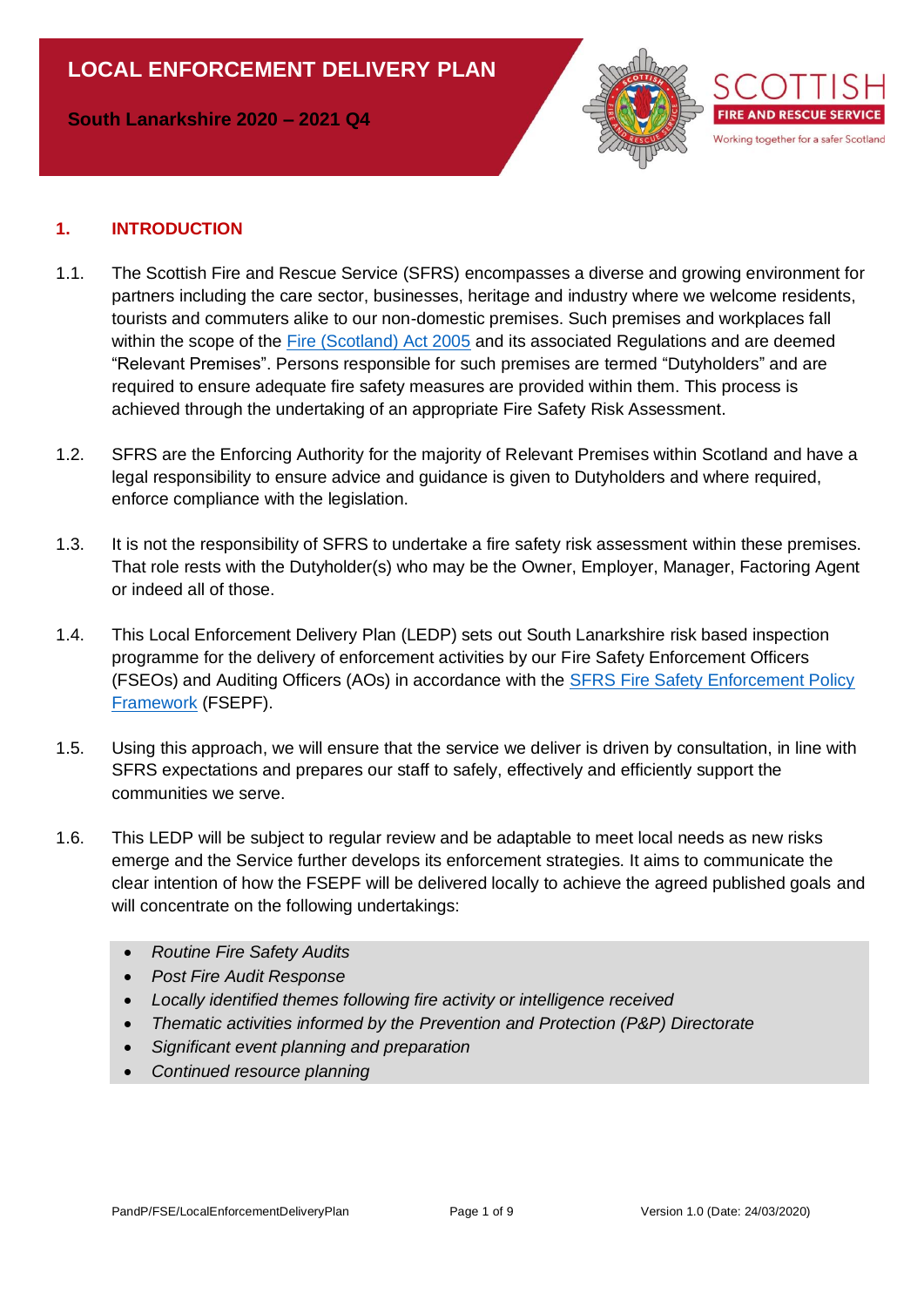**South Lanarkshire 2020 – 2021 Q4**



### **1. INTRODUCTION**

- 1.1. The Scottish Fire and Rescue Service (SFRS) encompasses a diverse and growing environment for partners including the care sector, businesses, heritage and industry where we welcome residents, tourists and commuters alike to our non-domestic premises. Such premises and workplaces fall within the scope of the [Fire \(Scotland\) Act 2005](http://www.legislation.gov.uk/asp/2005/5/contents) and its associated Regulations and are deemed "Relevant Premises". Persons responsible for such premises are termed "Dutyholders" and are required to ensure adequate fire safety measures are provided within them. This process is achieved through the undertaking of an appropriate Fire Safety Risk Assessment.
- 1.2. SFRS are the Enforcing Authority for the majority of Relevant Premises within Scotland and have a legal responsibility to ensure advice and guidance is given to Dutyholders and where required, enforce compliance with the legislation.
- 1.3. It is not the responsibility of SFRS to undertake a fire safety risk assessment within these premises. That role rests with the Dutyholder(s) who may be the Owner, Employer, Manager, Factoring Agent or indeed all of those.
- 1.4. This Local Enforcement Delivery Plan (LEDP) sets out South Lanarkshire risk based inspection programme for the delivery of enforcement activities by our Fire Safety Enforcement Officers (FSEOs) and Auditing Officers (AOs) in accordance with the [SFRS Fire Safety Enforcement Policy](https://ihub.firescotland.gov.uk/download.cfm?doc=docm93jijm4n662.xls&ver=32769)  [Framework](https://ihub.firescotland.gov.uk/download.cfm?doc=docm93jijm4n662.xls&ver=32769) (FSEPF).
- 1.5. Using this approach, we will ensure that the service we deliver is driven by consultation, in line with SFRS expectations and prepares our staff to safely, effectively and efficiently support the communities we serve.
- 1.6. This LEDP will be subject to regular review and be adaptable to meet local needs as new risks emerge and the Service further develops its enforcement strategies. It aims to communicate the clear intention of how the FSEPF will be delivered locally to achieve the agreed published goals and will concentrate on the following undertakings:
	- *Routine Fire Safety Audits*
	- *Post Fire Audit Response*
	- *Locally identified themes following fire activity or intelligence received*
	- *Thematic activities informed by the Prevention and Protection (P&P) Directorate*
	- *Significant event planning and preparation*
	- *Continued resource planning*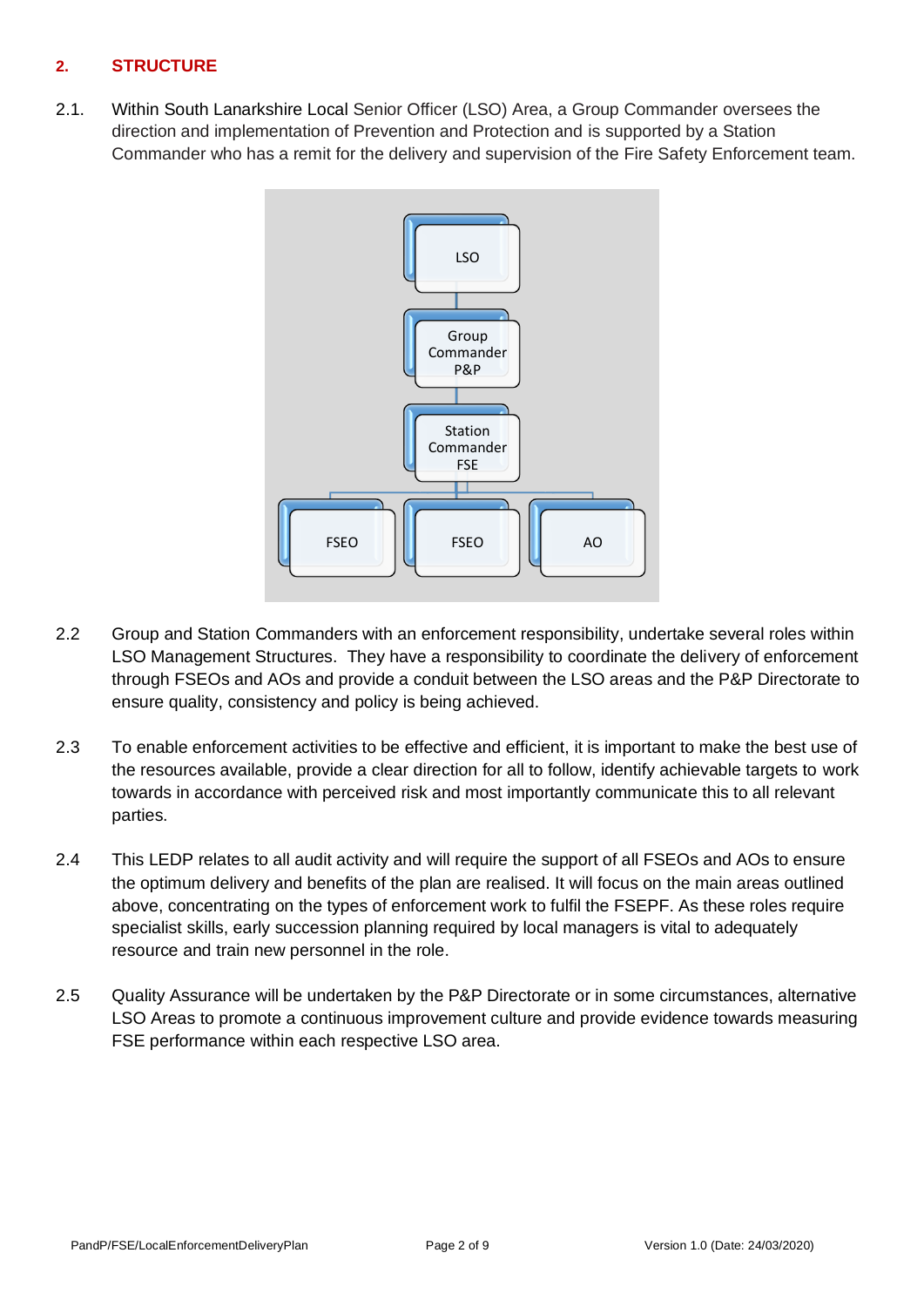## **2. STRUCTURE**

2.1. Within South Lanarkshire Local Senior Officer (LSO) Area, a Group Commander oversees the direction and implementation of Prevention and Protection and is supported by a Station Commander who has a remit for the delivery and supervision of the Fire Safety Enforcement team.



- 2.2 Group and Station Commanders with an enforcement responsibility, undertake several roles within LSO Management Structures. They have a responsibility to coordinate the delivery of enforcement through FSEOs and AOs and provide a conduit between the LSO areas and the P&P Directorate to ensure quality, consistency and policy is being achieved.
- 2.3 To enable enforcement activities to be effective and efficient, it is important to make the best use of the resources available, provide a clear direction for all to follow, identify achievable targets to work towards in accordance with perceived risk and most importantly communicate this to all relevant parties.
- 2.4 This LEDP relates to all audit activity and will require the support of all FSEOs and AOs to ensure the optimum delivery and benefits of the plan are realised. It will focus on the main areas outlined above, concentrating on the types of enforcement work to fulfil the FSEPF. As these roles require specialist skills, early succession planning required by local managers is vital to adequately resource and train new personnel in the role.
- 2.5 Quality Assurance will be undertaken by the P&P Directorate or in some circumstances, alternative LSO Areas to promote a continuous improvement culture and provide evidence towards measuring FSE performance within each respective LSO area.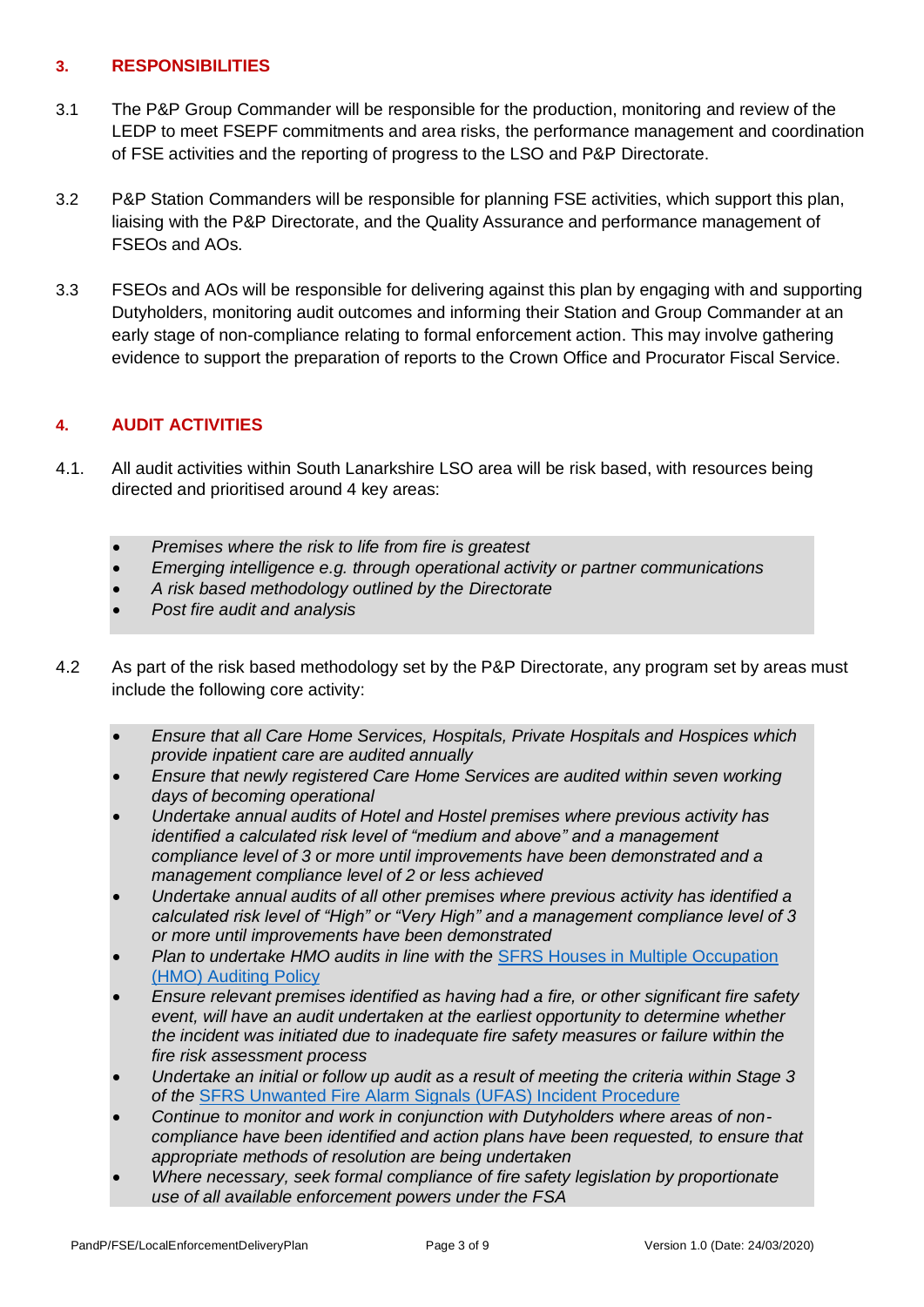### **3. RESPONSIBILITIES**

- 3.1 The P&P Group Commander will be responsible for the production, monitoring and review of the LEDP to meet FSEPF commitments and area risks, the performance management and coordination of FSE activities and the reporting of progress to the LSO and P&P Directorate.
- 3.2 P&P Station Commanders will be responsible for planning FSE activities, which support this plan, liaising with the P&P Directorate, and the Quality Assurance and performance management of FSEOs and AOs.
- 3.3 FSEOs and AOs will be responsible for delivering against this plan by engaging with and supporting Dutyholders, monitoring audit outcomes and informing their Station and Group Commander at an early stage of non-compliance relating to formal enforcement action. This may involve gathering evidence to support the preparation of reports to the Crown Office and Procurator Fiscal Service.

## **4. AUDIT ACTIVITIES**

- 4.1. All audit activities within South Lanarkshire LSO area will be risk based, with resources being directed and prioritised around 4 key areas:
	- *Premises where the risk to life from fire is greatest*
	- *Emerging intelligence e.g. through operational activity or partner communications*
	- *A risk based methodology outlined by the Directorate*
	- *Post fire audit and analysis*
- 4.2 As part of the risk based methodology set by the P&P Directorate, any program set by areas must include the following core activity:
	- *Ensure that all Care Home Services, Hospitals, Private Hospitals and Hospices which provide inpatient care are audited annually*
	- *Ensure that newly registered Care Home Services are audited within seven working days of becoming operational*
	- *Undertake annual audits of Hotel and Hostel premises where previous activity has identified a calculated risk level of "medium and above" and a management compliance level of 3 or more until improvements have been demonstrated and a management compliance level of 2 or less achieved*
	- *Undertake annual audits of all other premises where previous activity has identified a calculated risk level of "High" or "Very High" and a management compliance level of 3 or more until improvements have been demonstrated*
	- *Plan to undertake HMO audits in line with the* [SFRS Houses in Multiple Occupation](https://ihub.firescotland.gov.uk/download.cfm?doc=docm93jijm4n6539.xls&ver=44233)  (HMO) [Auditing Policy](https://ihub.firescotland.gov.uk/download.cfm?doc=docm93jijm4n6539.xls&ver=44233)
	- *Ensure relevant premises identified as having had a fire, or other significant fire safety event, will have an audit undertaken at the earliest opportunity to determine whether the incident was initiated due to inadequate fire safety measures or failure within the fire risk assessment process*
	- *Undertake an initial or follow up audit as a result of meeting the criteria within Stage 3 of the* [SFRS Unwanted Fire Alarm Signals \(UFAS\) Incident](https://ihub.firescotland.gov.uk/download.cfm?doc=docm93jijm4n3257.xls&ver=13871) Procedure
	- *Continue to monitor and work in conjunction with Dutyholders where areas of noncompliance have been identified and action plans have been requested, to ensure that appropriate methods of resolution are being undertaken*
	- *Where necessary, seek formal compliance of fire safety legislation by proportionate use of all available enforcement powers under the FSA*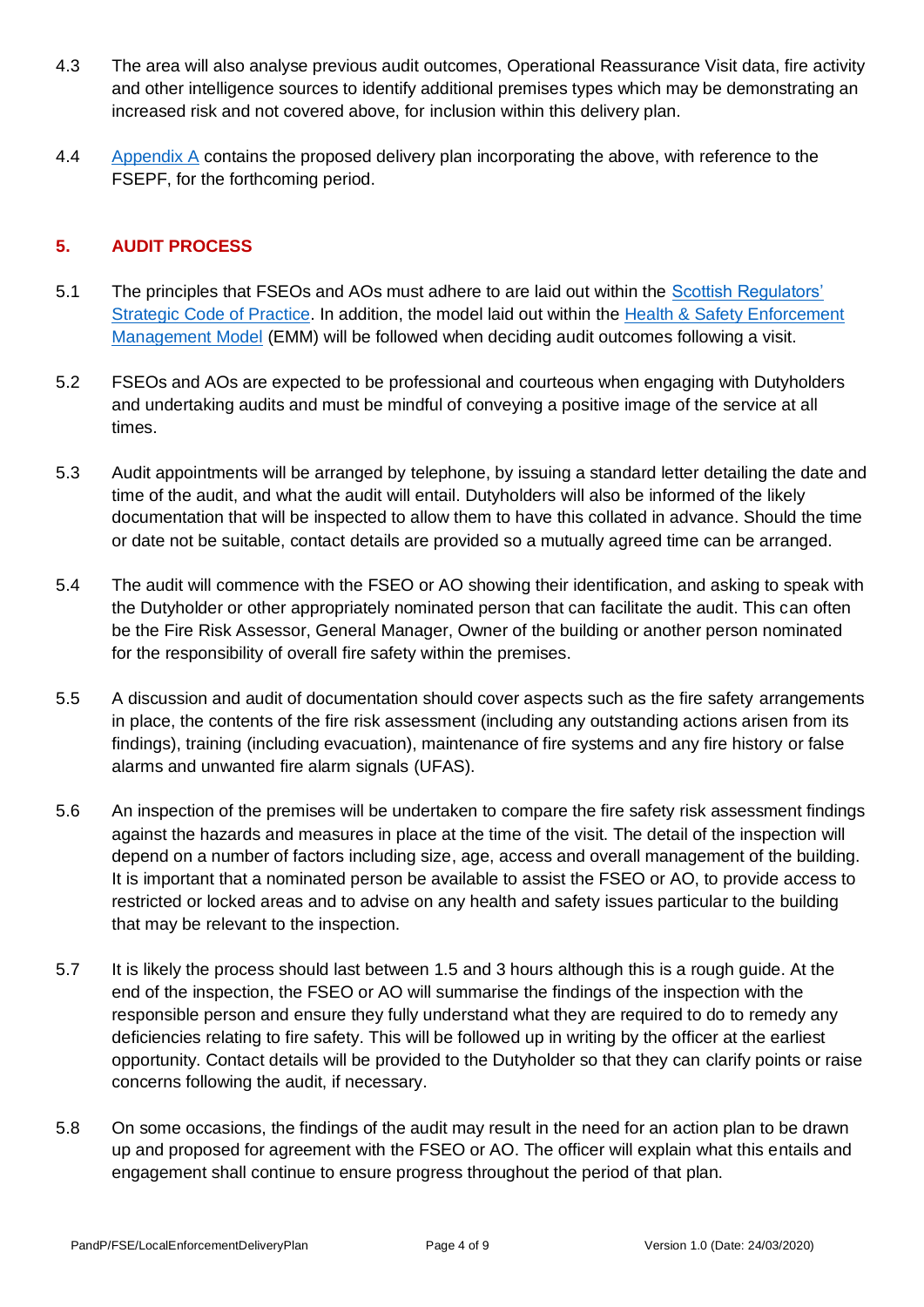- 4.3 The area will also analyse previous audit outcomes, Operational Reassurance Visit data, fire activity and other intelligence sources to identify additional premises types which may be demonstrating an increased risk and not covered above, for inclusion within this delivery plan.
- 4.4 [Appendix A](#page-6-0) contains the proposed delivery plan incorporating the above, with reference to the FSEPF, for the forthcoming period.

#### **5. AUDIT PROCESS**

- 5.1 The principles that FSEOs and AOs must adhere to are laid out within the [Scottish Regulators'](https://www.gov.scot/publications/scottish-regulators-strategic-code-of-practice/)  [Strategic Code of Practice.](https://www.gov.scot/publications/scottish-regulators-strategic-code-of-practice/) In addition, the model laid out within the [Health & Safety Enforcement](https://www.hse.gov.uk/enforce/enforcement-management-model.htm)  [Management Model](https://www.hse.gov.uk/enforce/enforcement-management-model.htm) (EMM) will be followed when deciding audit outcomes following a visit.
- 5.2 FSEOs and AOs are expected to be professional and courteous when engaging with Dutyholders and undertaking audits and must be mindful of conveying a positive image of the service at all times.
- 5.3 Audit appointments will be arranged by telephone, by issuing a standard letter detailing the date and time of the audit, and what the audit will entail. Dutyholders will also be informed of the likely documentation that will be inspected to allow them to have this collated in advance. Should the time or date not be suitable, contact details are provided so a mutually agreed time can be arranged.
- 5.4 The audit will commence with the FSEO or AO showing their identification, and asking to speak with the Dutyholder or other appropriately nominated person that can facilitate the audit. This can often be the Fire Risk Assessor, General Manager, Owner of the building or another person nominated for the responsibility of overall fire safety within the premises.
- 5.5 A discussion and audit of documentation should cover aspects such as the fire safety arrangements in place, the contents of the fire risk assessment (including any outstanding actions arisen from its findings), training (including evacuation), maintenance of fire systems and any fire history or false alarms and unwanted fire alarm signals (UFAS).
- 5.6 An inspection of the premises will be undertaken to compare the fire safety risk assessment findings against the hazards and measures in place at the time of the visit. The detail of the inspection will depend on a number of factors including size, age, access and overall management of the building. It is important that a nominated person be available to assist the FSEO or AO, to provide access to restricted or locked areas and to advise on any health and safety issues particular to the building that may be relevant to the inspection.
- 5.7 It is likely the process should last between 1.5 and 3 hours although this is a rough guide. At the end of the inspection, the FSEO or AO will summarise the findings of the inspection with the responsible person and ensure they fully understand what they are required to do to remedy any deficiencies relating to fire safety. This will be followed up in writing by the officer at the earliest opportunity. Contact details will be provided to the Dutyholder so that they can clarify points or raise concerns following the audit, if necessary.
- 5.8 On some occasions, the findings of the audit may result in the need for an action plan to be drawn up and proposed for agreement with the FSEO or AO. The officer will explain what this entails and engagement shall continue to ensure progress throughout the period of that plan.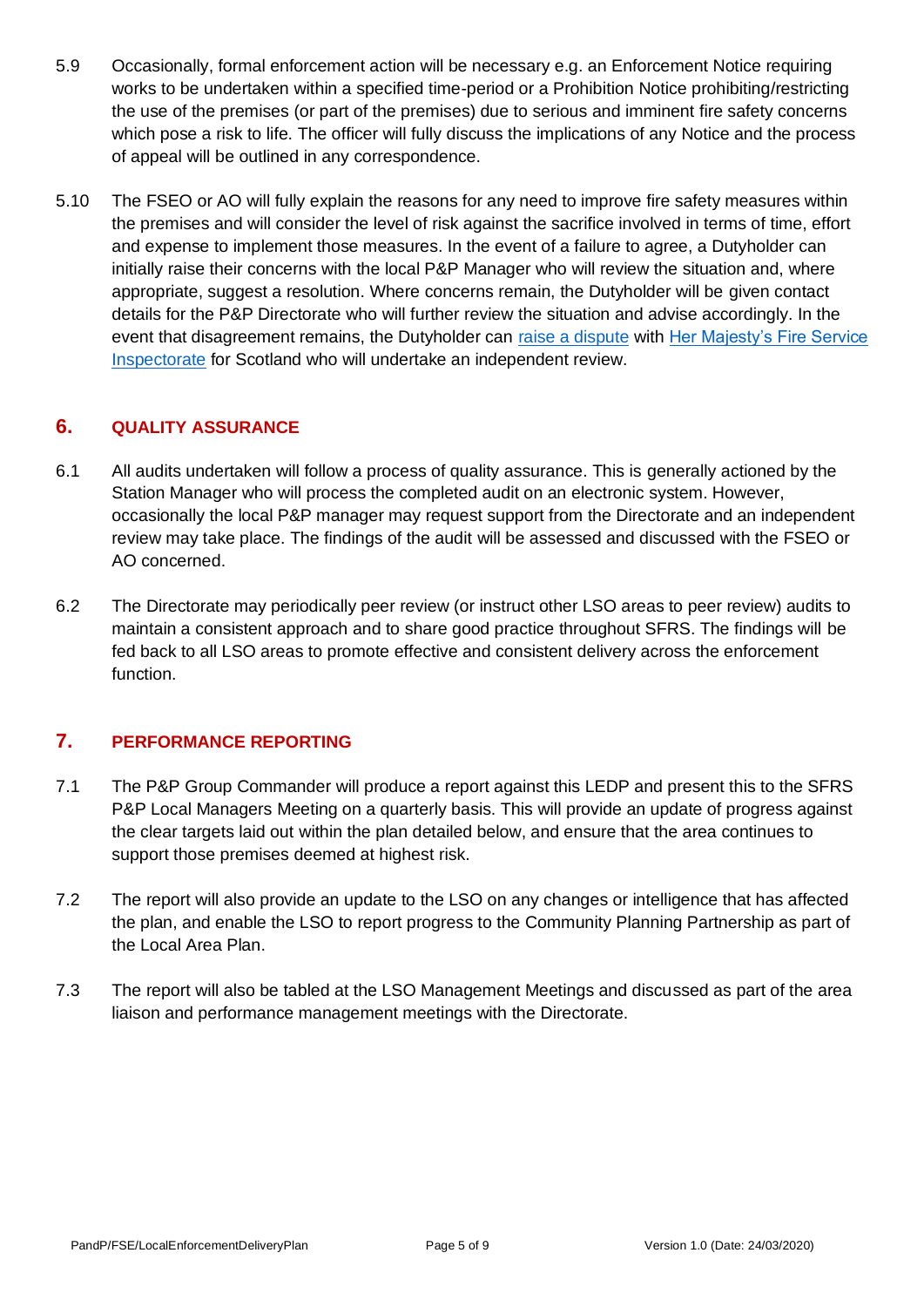- 5.9 Occasionally, formal enforcement action will be necessary e.g. an Enforcement Notice requiring works to be undertaken within a specified time-period or a Prohibition Notice prohibiting/restricting the use of the premises (or part of the premises) due to serious and imminent fire safety concerns which pose a risk to life. The officer will fully discuss the implications of any Notice and the process of appeal will be outlined in any correspondence.
- 5.10 The FSEO or AO will fully explain the reasons for any need to improve fire safety measures within the premises and will consider the level of risk against the sacrifice involved in terms of time, effort and expense to implement those measures. In the event of a failure to agree, a Dutyholder can initially raise their concerns with the local P&P Manager who will review the situation and, where appropriate, suggest a resolution. Where concerns remain, the Dutyholder will be given contact details for the P&P Directorate who will further review the situation and advise accordingly. In the event that disagreement remains, the Dutyholder can [raise a dispute](http://www.gov.scot/Resource/0048/00481729.pdf) with [Her Majesty's Fire Service](http://www.gov.scot/about/public-bodies/HMFSI)  [Inspectorate](http://www.gov.scot/about/public-bodies/HMFSI) for Scotland who will undertake an independent review.

## **6. QUALITY ASSURANCE**

- 6.1 All audits undertaken will follow a process of quality assurance. This is generally actioned by the Station Manager who will process the completed audit on an electronic system. However, occasionally the local P&P manager may request support from the Directorate and an independent review may take place. The findings of the audit will be assessed and discussed with the FSEO or AO concerned.
- 6.2 The Directorate may periodically peer review (or instruct other LSO areas to peer review) audits to maintain a consistent approach and to share good practice throughout SFRS. The findings will be fed back to all LSO areas to promote effective and consistent delivery across the enforcement function.

## **7. PERFORMANCE REPORTING**

- 7.1 The P&P Group Commander will produce a report against this LEDP and present this to the SFRS P&P Local Managers Meeting on a quarterly basis. This will provide an update of progress against the clear targets laid out within the plan detailed below, and ensure that the area continues to support those premises deemed at highest risk.
- 7.2 The report will also provide an update to the LSO on any changes or intelligence that has affected the plan, and enable the LSO to report progress to the Community Planning Partnership as part of the Local Area Plan.
- 7.3 The report will also be tabled at the LSO Management Meetings and discussed as part of the area liaison and performance management meetings with the Directorate.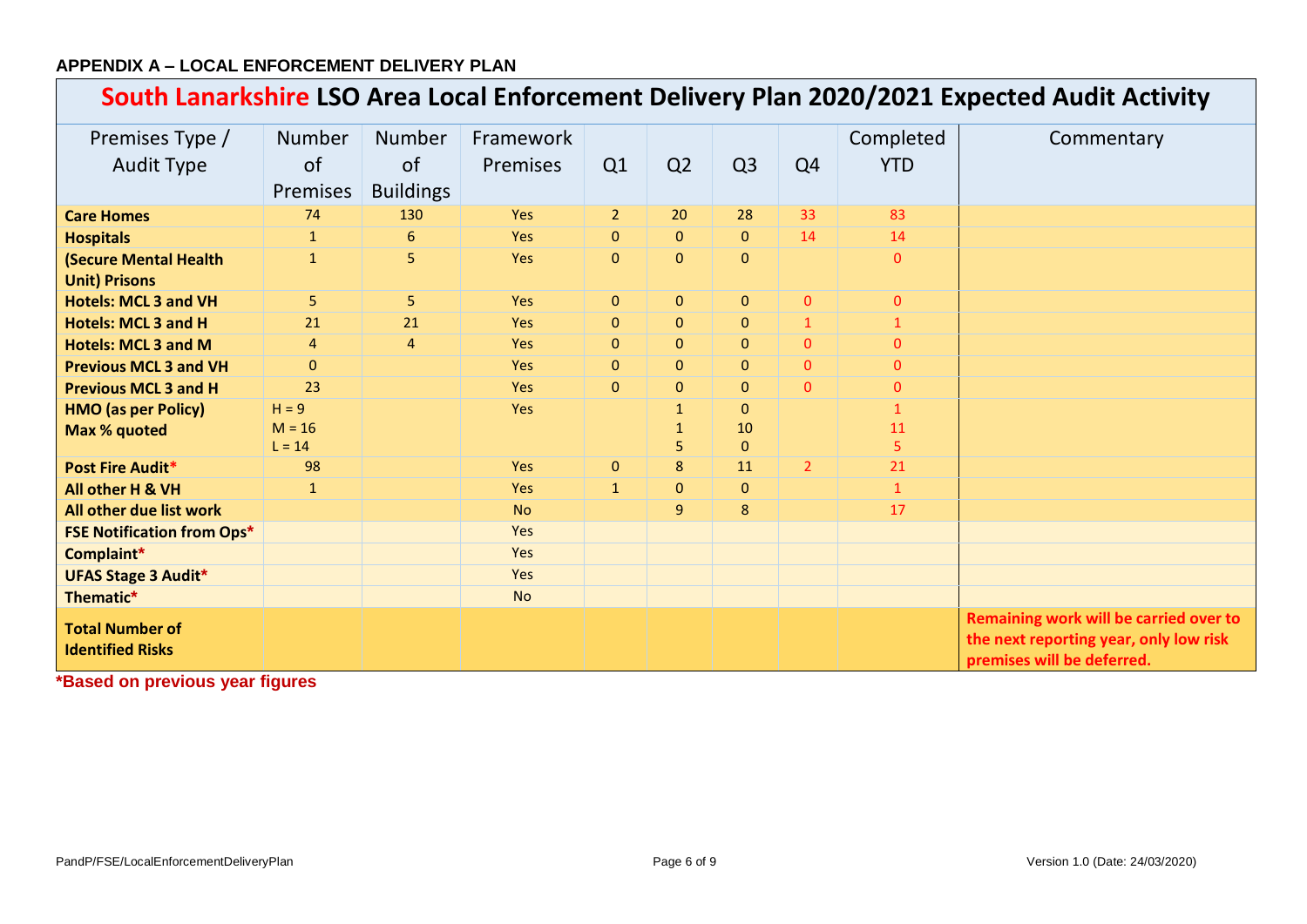## **APPENDIX A – LOCAL ENFORCEMENT DELIVERY PLAN**

# **South Lanarkshire LSO Area Local Enforcement Delivery Plan 2020/2021 Expected Audit Activity**

| Premises Type /<br><b>Audit Type</b>                 | <b>Number</b><br>of<br>Premises | <b>Number</b><br><sub>of</sub><br><b>Buildings</b> | Framework<br><b>Premises</b> | Q1             | Q <sub>2</sub> | Q <sub>3</sub> | Q <sub>4</sub> | Completed<br><b>YTD</b> | Commentary                                                                                                     |
|------------------------------------------------------|---------------------------------|----------------------------------------------------|------------------------------|----------------|----------------|----------------|----------------|-------------------------|----------------------------------------------------------------------------------------------------------------|
| <b>Care Homes</b>                                    | 74                              | 130                                                | <b>Yes</b>                   | 2 <sup>2</sup> | 20             | 28             | 33             | 83                      |                                                                                                                |
| <b>Hospitals</b>                                     | $\mathbf{1}$                    | 6                                                  | Yes                          | $\mathbf{0}$   | $\Omega$       | $\Omega$       | 14             | 14                      |                                                                                                                |
| <b>(Secure Mental Health</b><br><b>Unit) Prisons</b> | $\mathbf{1}$                    | 5                                                  | Yes                          | $\mathbf{0}$   | $\mathbf{0}$   | $\mathbf{0}$   |                | $\mathbf{0}$            |                                                                                                                |
| <b>Hotels: MCL 3 and VH</b>                          | 5 <sub>1</sub>                  | 5                                                  | Yes                          | $\mathbf{0}$   | $\mathbf{0}$   | $\mathbf{0}$   | $\mathbf{0}$   | $\mathbf{0}$            |                                                                                                                |
| <b>Hotels: MCL 3 and H</b>                           | 21                              | 21                                                 | Yes                          | $\overline{0}$ | $\Omega$       | $\Omega$       | $\mathbf{1}$   | $\mathbf{1}$            |                                                                                                                |
| <b>Hotels: MCL 3 and M</b>                           | $\overline{4}$                  | $\overline{4}$                                     | Yes                          | $\mathbf{0}$   | $\mathbf{0}$   | $\mathbf{0}$   | $\mathbf{0}$   | $\mathbf{0}$            |                                                                                                                |
| <b>Previous MCL 3 and VH</b>                         | $\Omega$                        |                                                    | <b>Yes</b>                   | $\Omega$       | $\mathbf{0}$   | $\mathbf{0}$   | $\Omega$       | $\overline{0}$          |                                                                                                                |
| <b>Previous MCL 3 and H</b>                          | 23                              |                                                    | <b>Yes</b>                   | $\mathbf{0}$   | $\overline{0}$ | $\overline{0}$ | $\overline{0}$ | $\overline{0}$          |                                                                                                                |
| <b>HMO</b> (as per Policy)                           | $H = 9$                         |                                                    | Yes                          |                | $\mathbf{1}$   | $\mathbf{0}$   |                | $\mathbf{1}$            |                                                                                                                |
| Max % quoted                                         | $M = 16$                        |                                                    |                              |                | 1              | 10             |                | 11                      |                                                                                                                |
|                                                      | $L = 14$                        |                                                    |                              |                | 5.             | $\Omega$       |                | 5                       |                                                                                                                |
| <b>Post Fire Audit*</b>                              | 98                              |                                                    | Yes                          | $\overline{0}$ | 8              | 11             | 2 <sup>1</sup> | 21                      |                                                                                                                |
| All other H & VH                                     | $\mathbf{1}$                    |                                                    | Yes                          | $\mathbf{1}$   | $\overline{0}$ | $\mathbf{0}$   |                | $\mathbf{1}$            |                                                                                                                |
| All other due list work                              |                                 |                                                    | <b>No</b>                    |                | 9 <sup>°</sup> | 8              |                | 17                      |                                                                                                                |
| <b>FSE Notification from Ops*</b>                    |                                 |                                                    | Yes                          |                |                |                |                |                         |                                                                                                                |
| Complaint*                                           |                                 |                                                    | Yes                          |                |                |                |                |                         |                                                                                                                |
| <b>UFAS Stage 3 Audit*</b>                           |                                 |                                                    | Yes                          |                |                |                |                |                         |                                                                                                                |
| Thematic*                                            |                                 |                                                    | <b>No</b>                    |                |                |                |                |                         |                                                                                                                |
| <b>Total Number of</b><br><b>Identified Risks</b>    |                                 |                                                    |                              |                |                |                |                |                         | Remaining work will be carried over to<br>the next reporting year, only low risk<br>premises will be deferred. |

**\*Based on previous year figures**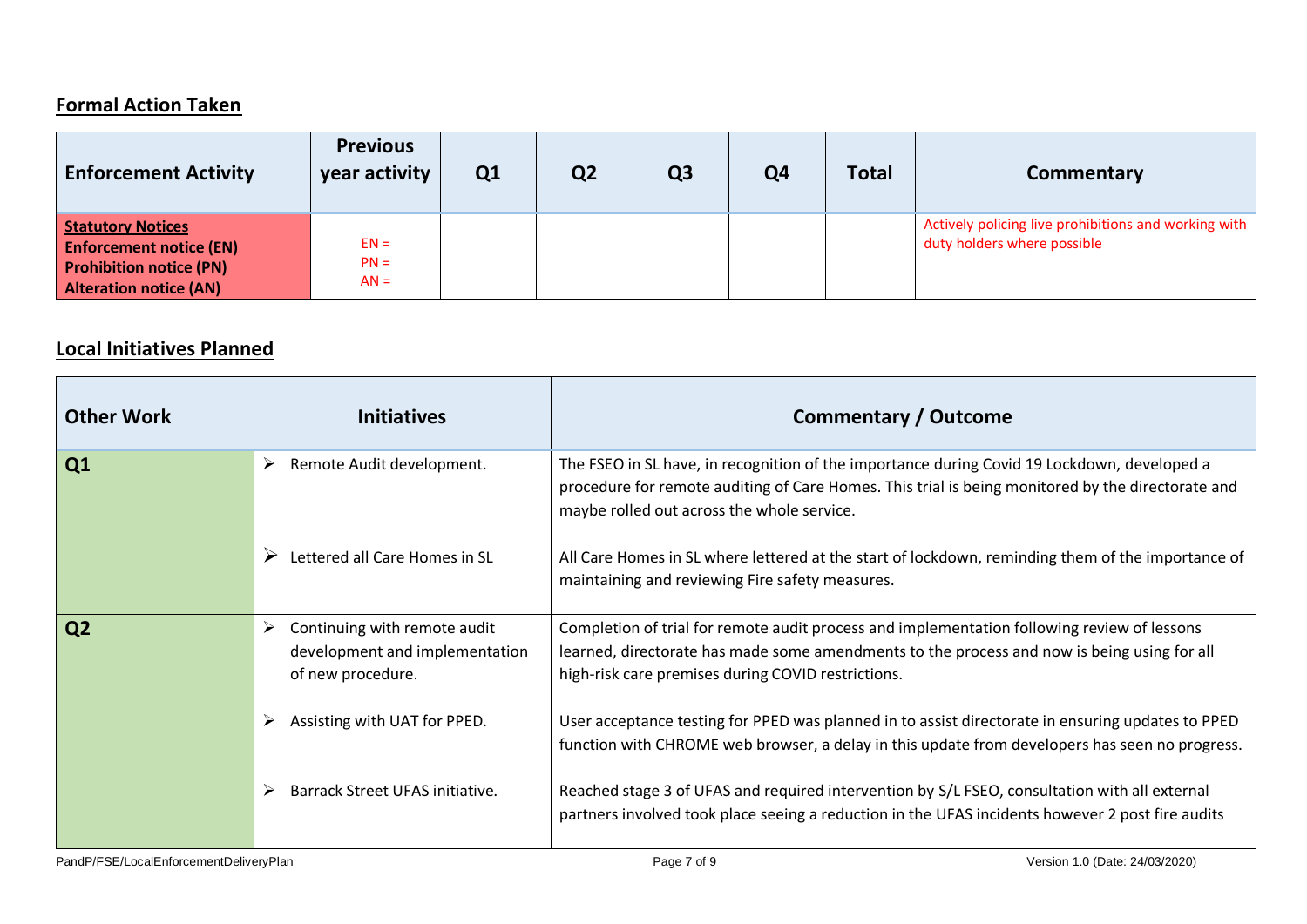## **Formal Action Taken**

| <b>Enforcement Activity</b>                                                                                                   | <b>Previous</b><br>year activity | Q <sub>1</sub> | Q <sub>2</sub> | Q <sub>3</sub> | Q <sub>4</sub> | <b>Total</b> | Commentary                                                                          |
|-------------------------------------------------------------------------------------------------------------------------------|----------------------------------|----------------|----------------|----------------|----------------|--------------|-------------------------------------------------------------------------------------|
| <b>Statutory Notices</b><br><b>Enforcement notice (EN)</b><br><b>Prohibition notice (PN)</b><br><b>Alteration notice (AN)</b> | $EN =$<br>$PN =$<br>$AN =$       |                |                |                |                |              | Actively policing live prohibitions and working with<br>duty holders where possible |

## **Local Initiatives Planned**

<span id="page-6-0"></span>

| <b>Other Work</b> | <b>Initiatives</b>                                                                       | <b>Commentary / Outcome</b>                                                                                                                                                                                                                      |
|-------------------|------------------------------------------------------------------------------------------|--------------------------------------------------------------------------------------------------------------------------------------------------------------------------------------------------------------------------------------------------|
| Q1                | Remote Audit development.                                                                | The FSEO in SL have, in recognition of the importance during Covid 19 Lockdown, developed a<br>procedure for remote auditing of Care Homes. This trial is being monitored by the directorate and<br>maybe rolled out across the whole service.   |
|                   | Lettered all Care Homes in SL                                                            | All Care Homes in SL where lettered at the start of lockdown, reminding them of the importance of<br>maintaining and reviewing Fire safety measures.                                                                                             |
| Q2                | Continuing with remote audit<br>➤<br>development and implementation<br>of new procedure. | Completion of trial for remote audit process and implementation following review of lessons<br>learned, directorate has made some amendments to the process and now is being using for all<br>high-risk care premises during COVID restrictions. |
|                   | Assisting with UAT for PPED.                                                             | User acceptance testing for PPED was planned in to assist directorate in ensuring updates to PPED<br>function with CHROME web browser, a delay in this update from developers has seen no progress.                                              |
|                   | Barrack Street UFAS initiative.                                                          | Reached stage 3 of UFAS and required intervention by S/L FSEO, consultation with all external<br>partners involved took place seeing a reduction in the UFAS incidents however 2 post fire audits                                                |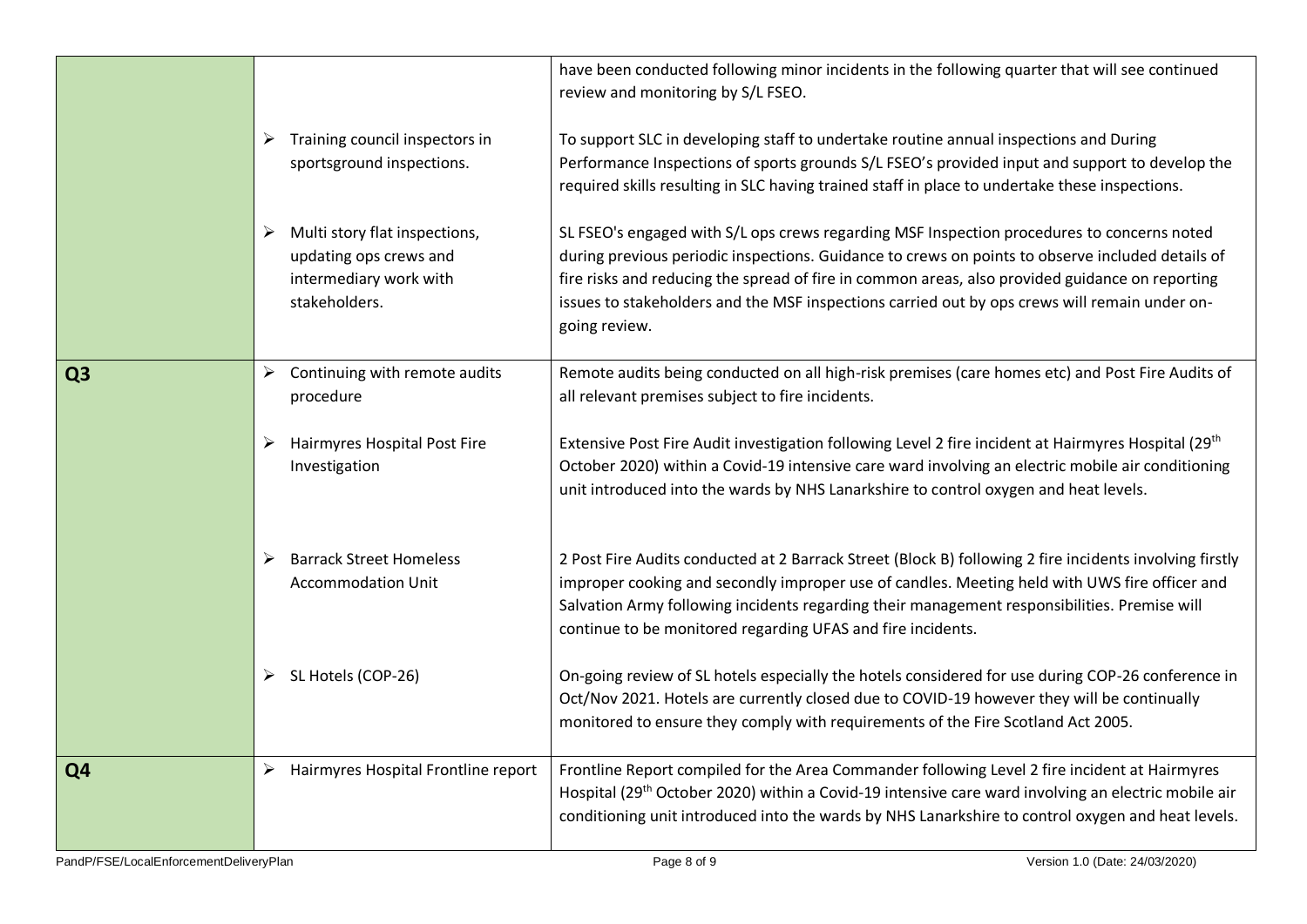|                |   |                                                                                                    | have been conducted following minor incidents in the following quarter that will see continued<br>review and monitoring by S/L FSEO.                                                                                                                                                                                                                                                                                |
|----------------|---|----------------------------------------------------------------------------------------------------|---------------------------------------------------------------------------------------------------------------------------------------------------------------------------------------------------------------------------------------------------------------------------------------------------------------------------------------------------------------------------------------------------------------------|
|                | ➤ | Training council inspectors in<br>sportsground inspections.                                        | To support SLC in developing staff to undertake routine annual inspections and During<br>Performance Inspections of sports grounds S/L FSEO's provided input and support to develop the<br>required skills resulting in SLC having trained staff in place to undertake these inspections.                                                                                                                           |
|                |   | Multi story flat inspections,<br>updating ops crews and<br>intermediary work with<br>stakeholders. | SL FSEO's engaged with S/L ops crews regarding MSF Inspection procedures to concerns noted<br>during previous periodic inspections. Guidance to crews on points to observe included details of<br>fire risks and reducing the spread of fire in common areas, also provided guidance on reporting<br>issues to stakeholders and the MSF inspections carried out by ops crews will remain under on-<br>going review. |
| Q <sub>3</sub> | ➤ | Continuing with remote audits<br>procedure                                                         | Remote audits being conducted on all high-risk premises (care homes etc) and Post Fire Audits of<br>all relevant premises subject to fire incidents.                                                                                                                                                                                                                                                                |
|                | ➤ | Hairmyres Hospital Post Fire<br>Investigation                                                      | Extensive Post Fire Audit investigation following Level 2 fire incident at Hairmyres Hospital (29 <sup>th</sup> )<br>October 2020) within a Covid-19 intensive care ward involving an electric mobile air conditioning<br>unit introduced into the wards by NHS Lanarkshire to control oxygen and heat levels.                                                                                                      |
|                | ➤ | <b>Barrack Street Homeless</b><br><b>Accommodation Unit</b>                                        | 2 Post Fire Audits conducted at 2 Barrack Street (Block B) following 2 fire incidents involving firstly<br>improper cooking and secondly improper use of candles. Meeting held with UWS fire officer and<br>Salvation Army following incidents regarding their management responsibilities. Premise will<br>continue to be monitored regarding UFAS and fire incidents.                                             |
|                | ➤ | SL Hotels (COP-26)                                                                                 | On-going review of SL hotels especially the hotels considered for use during COP-26 conference in<br>Oct/Nov 2021. Hotels are currently closed due to COVID-19 however they will be continually<br>monitored to ensure they comply with requirements of the Fire Scotland Act 2005.                                                                                                                                 |
| Q <sub>4</sub> | ➤ | Hairmyres Hospital Frontline report                                                                | Frontline Report compiled for the Area Commander following Level 2 fire incident at Hairmyres<br>Hospital (29 <sup>th</sup> October 2020) within a Covid-19 intensive care ward involving an electric mobile air<br>conditioning unit introduced into the wards by NHS Lanarkshire to control oxygen and heat levels.                                                                                               |